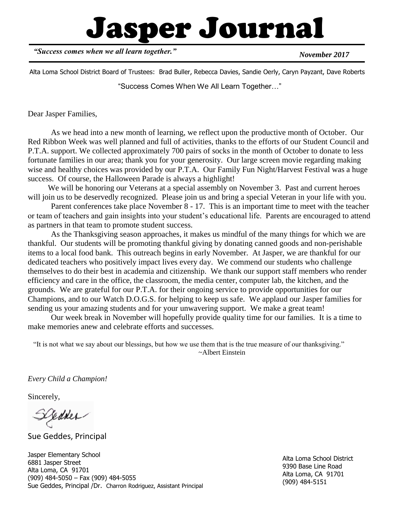# Jasper Journal

*"Success comes when we all learn together."*

*November 2017*

Alta Loma School District Board of Trustees: Brad Buller, Rebecca Davies, Sandie Oerly, Caryn Payzant, Dave Roberts

"Success Comes When We All Learn Together…"

Dear Jasper Families,

As we head into a new month of learning, we reflect upon the productive month of October. Our Red Ribbon Week was well planned and full of activities, thanks to the efforts of our Student Council and P.T.A. support. We collected approximately 700 pairs of socks in the month of October to donate to less fortunate families in our area; thank you for your generosity. Our large screen movie regarding making wise and healthy choices was provided by our P.T.A. Our Family Fun Night/Harvest Festival was a huge success. Of course, the Halloween Parade is always a highlight!

We will be honoring our Veterans at a special assembly on November 3. Past and current heroes will join us to be deservedly recognized. Please join us and bring a special Veteran in your life with you.

Parent conferences take place November 8 - 17. This is an important time to meet with the teacher or team of teachers and gain insights into your student's educational life. Parents are encouraged to attend as partners in that team to promote student success.

As the Thanksgiving season approaches, it makes us mindful of the many things for which we are thankful. Our students will be promoting thankful giving by donating canned goods and non-perishable items to a local food bank. This outreach begins in early November. At Jasper, we are thankful for our dedicated teachers who positively impact lives every day. We commend our students who challenge themselves to do their best in academia and citizenship. We thank our support staff members who render efficiency and care in the office, the classroom, the media center, computer lab, the kitchen, and the grounds. We are grateful for our P.T.A. for their ongoing service to provide opportunities for our Champions, and to our Watch D.O.G.S. for helping to keep us safe. We applaud our Jasper families for sending us your amazing students and for your unwavering support. We make a great team!

Our week break in November will hopefully provide quality time for our families. It is a time to make memories anew and celebrate efforts and successes.

 "It is not what we say about our blessings, but how we use them that is the true measure of our thanksgiving." ~Albert Einstein

*Every Child a Champion!*

Sincerely,

redder-

Sue Geddes, Principal

Jasper Elementary School 6881 Jasper Street Alta Loma, CA 91701 (909) 484-5050 – Fax (909) 484-5055 Sue Geddes, Principal /Dr. Charron Rodriguez, Assistant Principal

Alta Loma School District 9390 Base Line Road Alta Loma, CA 91701 (909) 484-5151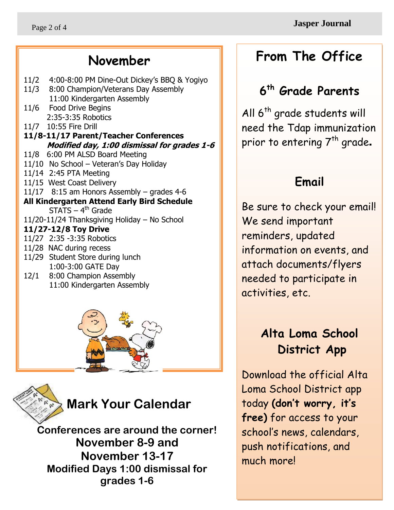### **November**

11/2 4:00-8:00 PM Dine-Out Dickey's BBQ & Yogiyo 11/3 8:00 Champion/Veterans Day Assembly 11:00 Kindergarten Assembly 11/6 Food Drive Begins 2:35-3:35 Robotics 11/7 10:55 Fire Drill **11/8-11/17 Parent/Teacher Conferences Modified day, 1:00 dismissal for grades 1-6** 11/8 6:00 PM ALSD Board Meeting 11/10 No School – Veteran's Day Holiday 11/14 2:45 PTA Meeting 11/15 West Coast Delivery 11/17 8:15 am Honors Assembly – grades 4-6 **All Kindergarten Attend Early Bird Schedule** STATS – 4<sup>th</sup> Grade 11/20-11/24 Thanksgiving Holiday – No School **11/27-12/8 Toy Drive** 11/27 2:35 -3:35 Robotics 11/28 NAC during recess 11/29 Student Store during lunch 1:00-3:00 GATE Day 12/1 8:00 Champion Assembly 11:00 Kindergarten Assembly





Ī

**Mark Your Calendar**

**Conferences are around the corner! November 8-9 and November 13-17 Modified Days 1:00 dismissal for grades 1-6**

### **From The Office**

### **6 th Grade Parents**

All 6<sup>th</sup> grade students will need the Tdap immunization prior to entering  $7<sup>th</sup>$  grade.

### **Email**

Be sure to check your email! We send important reminders, updated information on events, and attach documents/flyers needed to participate in activities, etc.

### **Alta Loma School District App**

Download the official Alta Loma School District app today **(don't worry, it's free)** for access to your school's news, calendars, push notifications, and much more!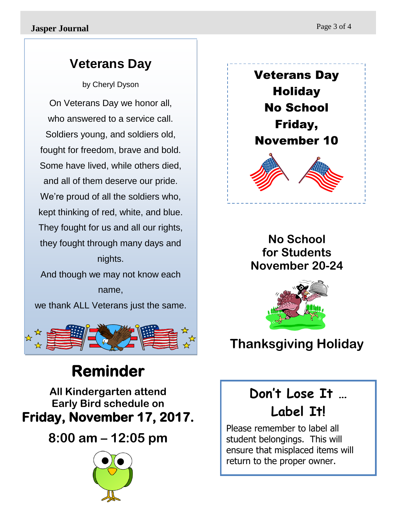### **Veterans Day**

by Cheryl Dyson

On Veterans Day we honor all, who answered to a service call. Soldiers young, and soldiers old, fought for freedom, brave and bold. Some have lived, while others died, and all of them deserve our pride. We're proud of all the soldiers who, kept thinking of red, white, and blue. They fought for us and all our rights, they fought through many days and nights.

And though we may not know each name, we thank ALL Veterans just the same.



## **Reminder**

**All Kindergarten attend Early Bird schedule on Friday, November 17, 2017.** 

### **8:00 am – 12:05 pm**





### **No School for Students November 20-24**



### **Thanksgiving Holiday**

### **Don't Lose It … Label It!**

Please remember to label all student belongings. This will ensure that misplaced items will return to the proper owner.